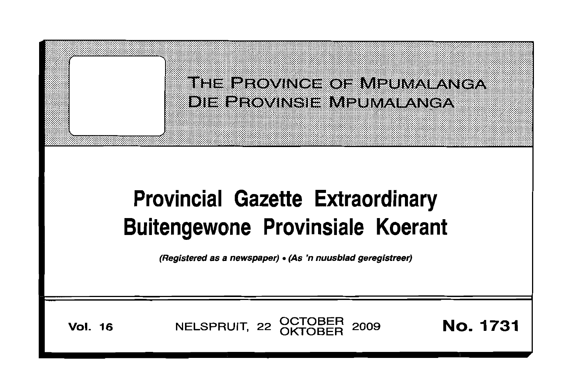

# **Provincial Gazette Extraordinary Buitengewone Provinsiale Koerant**

(Registered as a newspaper) •(As 'n nuusblad geregistreer)

**Vol. 16** NELSPRUIT, 22 OCTOBER 2009 **No. 1731**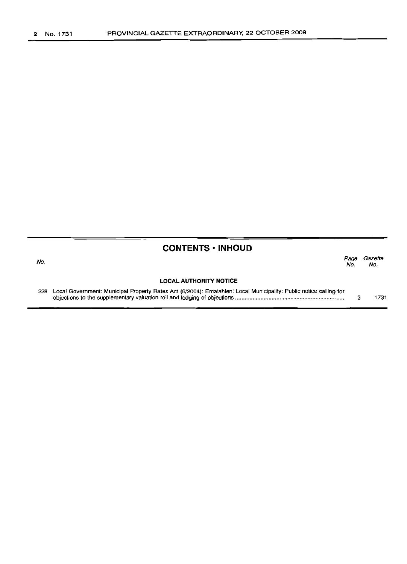#### No.

### **CONTENTS -INHOUD**

| VО. |                                                                                                                   | Page<br>No. | Gazette<br>No. |
|-----|-------------------------------------------------------------------------------------------------------------------|-------------|----------------|
|     | <b>LOCAL AUTHORITY NOTICE</b>                                                                                     |             |                |
| 228 | Local Government: Municipal Property Rates Act (6/2004): Emalahleni Local Municipality: Public notice calling for |             |                |

objections to the supplementary valuation roll and lodging of objections . 3 1731